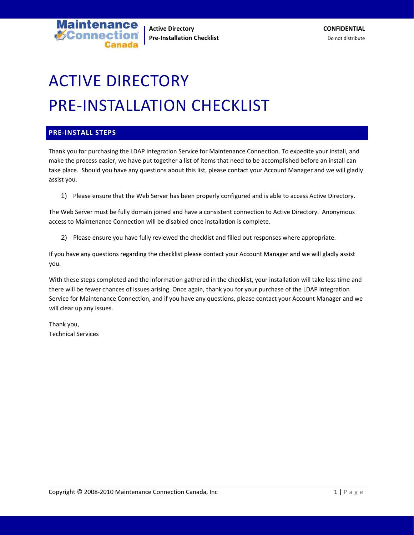**Active Directory CONFIDENTIAL Pre-Installation Checklist Checklist Checklist** Do not distribute

# ACTIVE DIRECTORY PRE‐INSTALLATION CHECKLIST

## **PRE‐INSTALL STEPS**

**V**Connect

**intenance** 

Thank you for purchasing the LDAP Integration Service for Maintenance Connection. To expedite your install, and make the process easier, we have put together a list of items that need to be accomplished before an install can take place. Should you have any questions about this list, please contact your Account Manager and we will gladly assist you.

1) Please ensure that the Web Server has been properly configured and is able to access Active Directory.

The Web Server must be fully domain joined and have a consistent connection to Active Directory. Anonymous access to Maintenance Connection will be disabled once installation is complete.

2) Please ensure you have fully reviewed the checklist and filled out responses where appropriate.

If you have any questions regarding the checklist please contact your Account Manager and we will gladly assist you.

With these steps completed and the information gathered in the checklist, your installation will take less time and there will be fewer chances of issues arising. Once again, thank you for your purchase of the LDAP Integration Service for Maintenance Connection, and if you have any questions, please contact your Account Manager and we will clear up any issues.

Thank you, Technical Services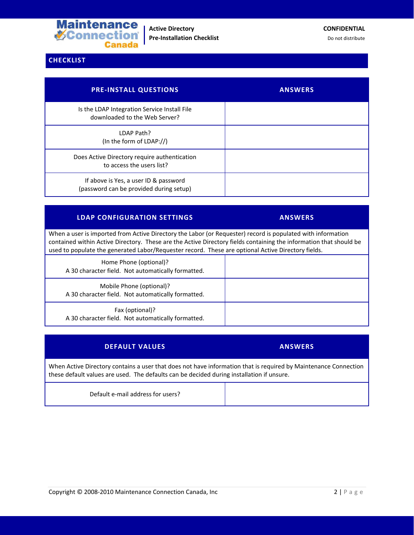

**Active Directory CONFIDENTIAL Pre-Installation Checklist** Do not distribute

# **CHECKLIST**

| <b>PRE-INSTALL QUESTIONS</b>                                                     | <b>ANSWERS</b> |
|----------------------------------------------------------------------------------|----------------|
| Is the LDAP Integration Service Install File<br>downloaded to the Web Server?    |                |
| LDAP Path?<br>(In the form of LDAP://)                                           |                |
| Does Active Directory require authentication<br>to access the users list?        |                |
| If above is Yes, a user ID & password<br>(password can be provided during setup) |                |

## **LDAP CONFIGURATION SETTINGS ANSWERS**

When a user is imported from Active Directory the Labor (or Requester) record is populated with information contained within Active Directory. These are the Active Directory fields containing the information that should be used to populate the generated Labor/Requester record. These are optional Active Directory fields.

| Home Phone (optional)?<br>A 30 character field. Not automatically formatted.   |  |
|--------------------------------------------------------------------------------|--|
| Mobile Phone (optional)?<br>A 30 character field. Not automatically formatted. |  |
| Fax (optional)?<br>A 30 character field. Not automatically formatted.          |  |

| <b>DEFAULT VALUES</b>                                                                                                                                                                                        | <b>ANSWERS</b> |  |
|--------------------------------------------------------------------------------------------------------------------------------------------------------------------------------------------------------------|----------------|--|
| When Active Directory contains a user that does not have information that is required by Maintenance Connection<br>these default values are used. The defaults can be decided during installation if unsure. |                |  |
| Default e-mail address for users?                                                                                                                                                                            |                |  |